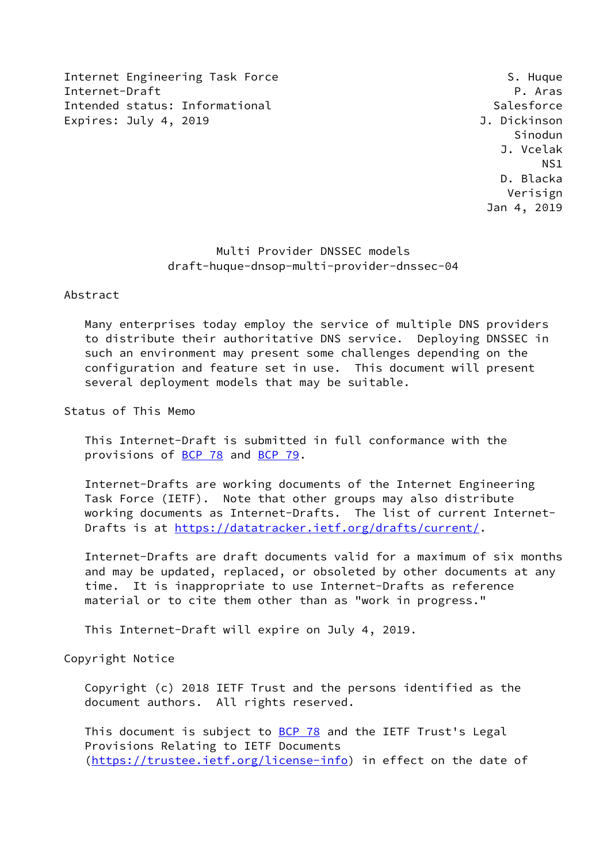Internet Engineering Task Force S. Huque S. Huque Internet-Draft P. Aras Intended status: Informational Salesforce Expires: July 4, 2019 **J. Dickinson** 

 Sinodun J. Vcelak NS1 D. Blacka Verisign Jan 4, 2019

## Multi Provider DNSSEC models draft-huque-dnsop-multi-provider-dnssec-04

## Abstract

 Many enterprises today employ the service of multiple DNS providers to distribute their authoritative DNS service. Deploying DNSSEC in such an environment may present some challenges depending on the configuration and feature set in use. This document will present several deployment models that may be suitable.

Status of This Memo

 This Internet-Draft is submitted in full conformance with the provisions of [BCP 78](https://datatracker.ietf.org/doc/pdf/bcp78) and [BCP 79](https://datatracker.ietf.org/doc/pdf/bcp79).

 Internet-Drafts are working documents of the Internet Engineering Task Force (IETF). Note that other groups may also distribute working documents as Internet-Drafts. The list of current Internet- Drafts is at<https://datatracker.ietf.org/drafts/current/>.

 Internet-Drafts are draft documents valid for a maximum of six months and may be updated, replaced, or obsoleted by other documents at any time. It is inappropriate to use Internet-Drafts as reference material or to cite them other than as "work in progress."

This Internet-Draft will expire on July 4, 2019.

Copyright Notice

 Copyright (c) 2018 IETF Trust and the persons identified as the document authors. All rights reserved.

This document is subject to **[BCP 78](https://datatracker.ietf.org/doc/pdf/bcp78)** and the IETF Trust's Legal Provisions Relating to IETF Documents [\(https://trustee.ietf.org/license-info](https://trustee.ietf.org/license-info)) in effect on the date of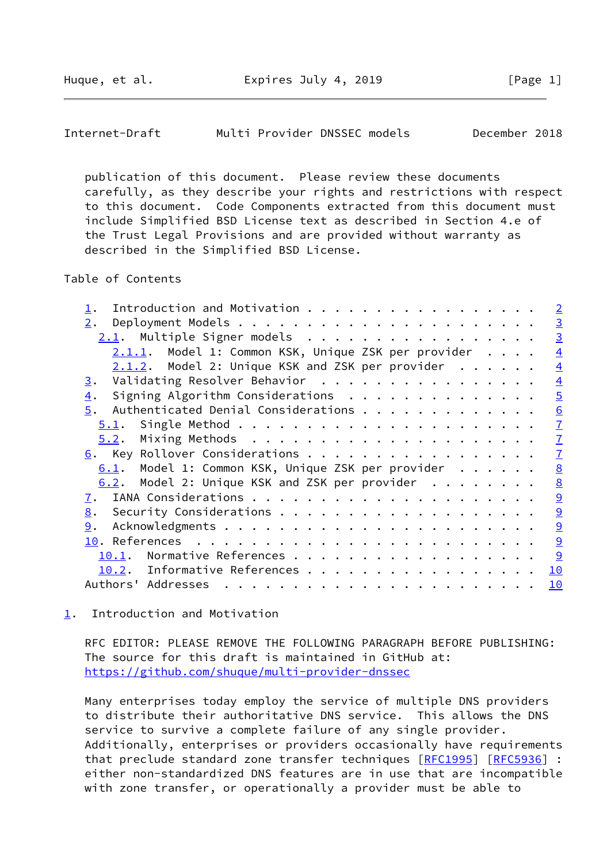<span id="page-1-1"></span>Internet-Draft Multi Provider DNSSEC models December 2018

 publication of this document. Please review these documents carefully, as they describe your rights and restrictions with respect to this document. Code Components extracted from this document must include Simplified BSD License text as described in Section 4.e of the Trust Legal Provisions and are provided without warranty as described in the Simplified BSD License.

Table of Contents

| Introduction and Motivation                           | $\overline{2}$ |
|-------------------------------------------------------|----------------|
| 2.                                                    | $\overline{3}$ |
| $2.1$ . Multiple Signer models                        | $\overline{3}$ |
| $2.1.1.$ Model 1: Common KSK, Unique ZSK per provider | $\overline{4}$ |
| $2.1.2$ . Model 2: Unique KSK and ZSK per provider    | $\overline{4}$ |
| Validating Resolver Behavior<br>3.                    | $\overline{4}$ |
| Signing Algorithm Considerations<br>$\overline{4}$ .  | $\overline{5}$ |
| Authenticated Denial Considerations<br>5.             | 6              |
| 5.1.                                                  | $\overline{1}$ |
|                                                       | $\overline{1}$ |
| 6. Key Rollover Considerations                        | $\overline{1}$ |
| Model 1: Common KSK, Unique ZSK per provider<br>6.1.  | 8              |
| 6.2. Model 2: Unique KSK and ZSK per provider         | 8              |
| 7.                                                    | 9              |
| 8.                                                    | $\overline{9}$ |
| 9.                                                    | $\overline{9}$ |
|                                                       | 9              |
| Normative References<br>10.1.                         | 9              |
| 10.2. Informative References                          | 10             |
| Authors' Addresses                                    | 10             |
|                                                       |                |

<span id="page-1-0"></span>[1](#page-1-0). Introduction and Motivation

 RFC EDITOR: PLEASE REMOVE THE FOLLOWING PARAGRAPH BEFORE PUBLISHING: The source for this draft is maintained in GitHub at: <https://github.com/shuque/multi-provider-dnssec>

 Many enterprises today employ the service of multiple DNS providers to distribute their authoritative DNS service. This allows the DNS service to survive a complete failure of any single provider. Additionally, enterprises or providers occasionally have requirements that preclude standard zone transfer techniques [\[RFC1995](https://datatracker.ietf.org/doc/pdf/rfc1995)] [[RFC5936](https://datatracker.ietf.org/doc/pdf/rfc5936)] : either non-standardized DNS features are in use that are incompatible with zone transfer, or operationally a provider must be able to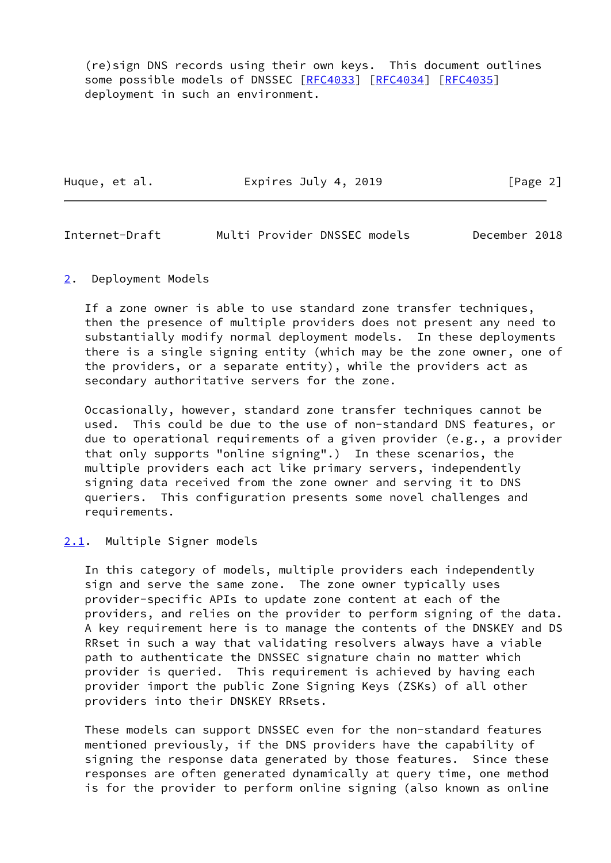(re)sign DNS records using their own keys. This document outlines some possible models of DNSSEC [\[RFC4033](https://datatracker.ietf.org/doc/pdf/rfc4033)] [\[RFC4034](https://datatracker.ietf.org/doc/pdf/rfc4034)] [[RFC4035\]](https://datatracker.ietf.org/doc/pdf/rfc4035) deployment in such an environment.

Huque, et al. **Expires July 4, 2019** [Page 2]

<span id="page-2-1"></span>Internet-Draft Multi Provider DNSSEC models December 2018

<span id="page-2-0"></span>[2](#page-2-0). Deployment Models

 If a zone owner is able to use standard zone transfer techniques, then the presence of multiple providers does not present any need to substantially modify normal deployment models. In these deployments there is a single signing entity (which may be the zone owner, one of the providers, or a separate entity), while the providers act as secondary authoritative servers for the zone.

 Occasionally, however, standard zone transfer techniques cannot be used. This could be due to the use of non-standard DNS features, or due to operational requirements of a given provider (e.g., a provider that only supports "online signing".) In these scenarios, the multiple providers each act like primary servers, independently signing data received from the zone owner and serving it to DNS queriers. This configuration presents some novel challenges and requirements.

## <span id="page-2-2"></span>[2.1](#page-2-2). Multiple Signer models

 In this category of models, multiple providers each independently sign and serve the same zone. The zone owner typically uses provider-specific APIs to update zone content at each of the providers, and relies on the provider to perform signing of the data. A key requirement here is to manage the contents of the DNSKEY and DS RRset in such a way that validating resolvers always have a viable path to authenticate the DNSSEC signature chain no matter which provider is queried. This requirement is achieved by having each provider import the public Zone Signing Keys (ZSKs) of all other providers into their DNSKEY RRsets.

 These models can support DNSSEC even for the non-standard features mentioned previously, if the DNS providers have the capability of signing the response data generated by those features. Since these responses are often generated dynamically at query time, one method is for the provider to perform online signing (also known as online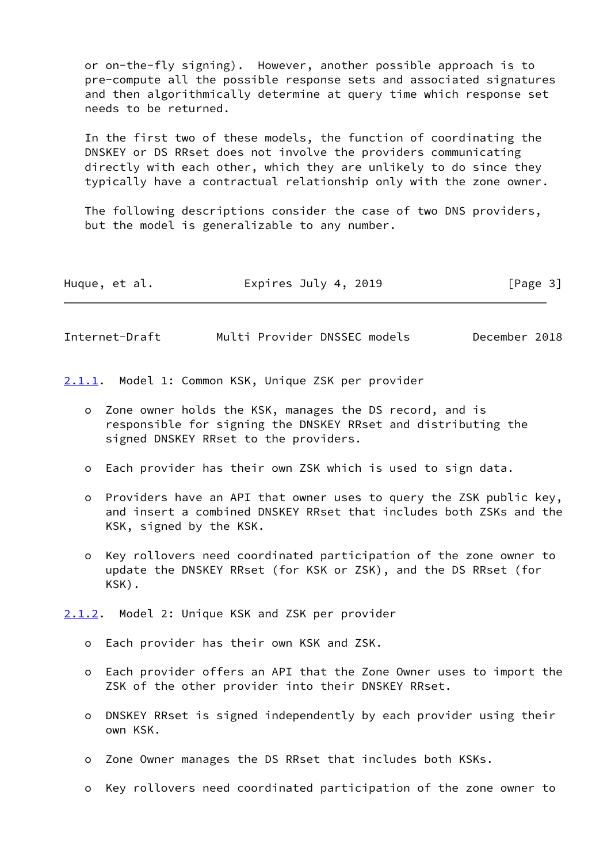or on-the-fly signing). However, another possible approach is to pre-compute all the possible response sets and associated signatures and then algorithmically determine at query time which response set needs to be returned.

 In the first two of these models, the function of coordinating the DNSKEY or DS RRset does not involve the providers communicating directly with each other, which they are unlikely to do since they typically have a contractual relationship only with the zone owner.

 The following descriptions consider the case of two DNS providers, but the model is generalizable to any number.

| Huque, et al. | Expires July 4, 2019 | [Page 3] |
|---------------|----------------------|----------|
|---------------|----------------------|----------|

<span id="page-3-1"></span>Internet-Draft Multi Provider DNSSEC models December 2018

<span id="page-3-0"></span>[2.1.1](#page-3-0). Model 1: Common KSK, Unique ZSK per provider

- o Zone owner holds the KSK, manages the DS record, and is responsible for signing the DNSKEY RRset and distributing the signed DNSKEY RRset to the providers.
- o Each provider has their own ZSK which is used to sign data.
- o Providers have an API that owner uses to query the ZSK public key, and insert a combined DNSKEY RRset that includes both ZSKs and the KSK, signed by the KSK.
- o Key rollovers need coordinated participation of the zone owner to update the DNSKEY RRset (for KSK or ZSK), and the DS RRset (for KSK).

<span id="page-3-2"></span>[2.1.2](#page-3-2). Model 2: Unique KSK and ZSK per provider

- o Each provider has their own KSK and ZSK.
- o Each provider offers an API that the Zone Owner uses to import the ZSK of the other provider into their DNSKEY RRset.
- o DNSKEY RRset is signed independently by each provider using their own KSK.
- o Zone Owner manages the DS RRset that includes both KSKs.
- o Key rollovers need coordinated participation of the zone owner to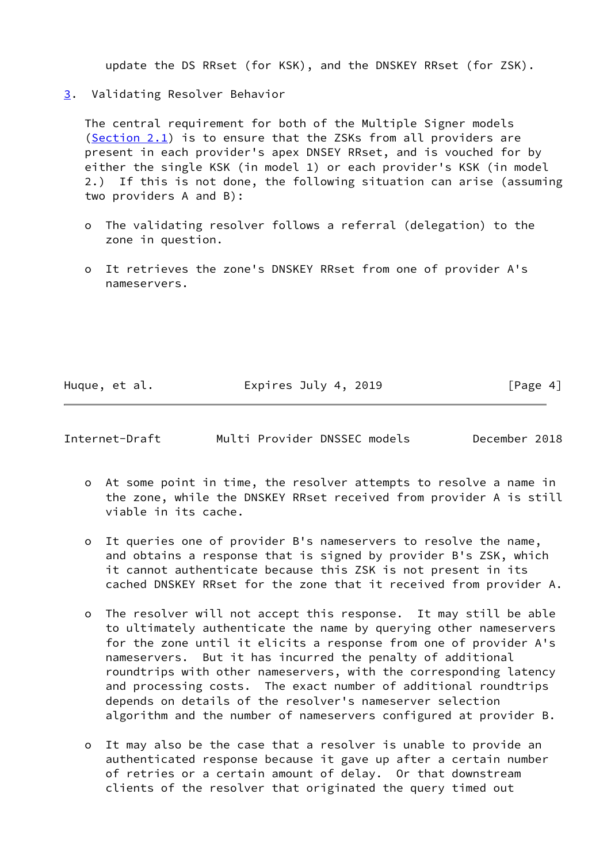update the DS RRset (for KSK), and the DNSKEY RRset (for ZSK).

<span id="page-4-0"></span>[3](#page-4-0). Validating Resolver Behavior

 The central requirement for both of the Multiple Signer models [\(Section 2.1](#page-2-2)) is to ensure that the ZSKs from all providers are present in each provider's apex DNSEY RRset, and is vouched for by either the single KSK (in model 1) or each provider's KSK (in model 2.) If this is not done, the following situation can arise (assuming two providers A and B):

- o The validating resolver follows a referral (delegation) to the zone in question.
- o It retrieves the zone's DNSKEY RRset from one of provider A's nameservers.

Huque, et al. **Expires July 4, 2019** [Page 4]

<span id="page-4-1"></span>Internet-Draft Multi Provider DNSSEC models December 2018

- o At some point in time, the resolver attempts to resolve a name in the zone, while the DNSKEY RRset received from provider A is still viable in its cache.
- o It queries one of provider B's nameservers to resolve the name, and obtains a response that is signed by provider B's ZSK, which it cannot authenticate because this ZSK is not present in its cached DNSKEY RRset for the zone that it received from provider A.
- o The resolver will not accept this response. It may still be able to ultimately authenticate the name by querying other nameservers for the zone until it elicits a response from one of provider A's nameservers. But it has incurred the penalty of additional roundtrips with other nameservers, with the corresponding latency and processing costs. The exact number of additional roundtrips depends on details of the resolver's nameserver selection algorithm and the number of nameservers configured at provider B.
- o It may also be the case that a resolver is unable to provide an authenticated response because it gave up after a certain number of retries or a certain amount of delay. Or that downstream clients of the resolver that originated the query timed out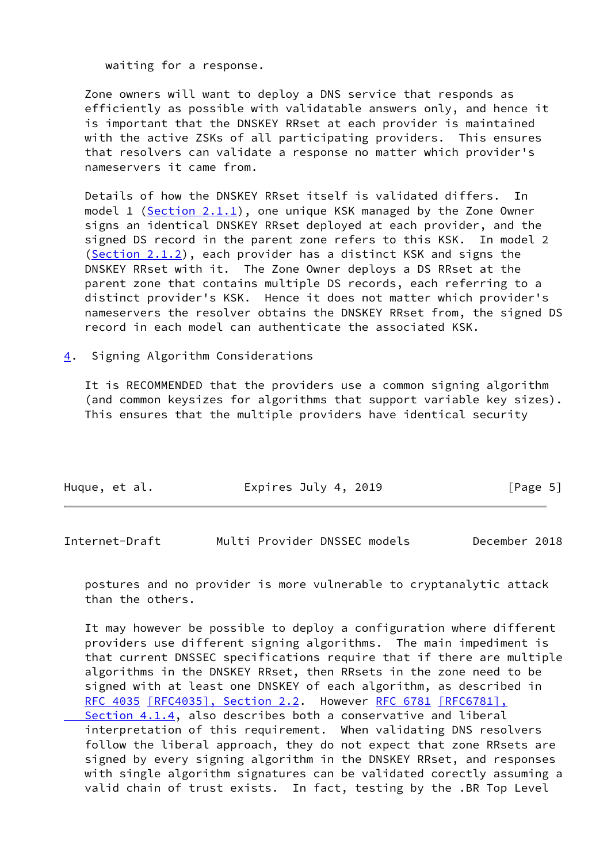waiting for a response.

 Zone owners will want to deploy a DNS service that responds as efficiently as possible with validatable answers only, and hence it is important that the DNSKEY RRset at each provider is maintained with the active ZSKs of all participating providers. This ensures that resolvers can validate a response no matter which provider's nameservers it came from.

 Details of how the DNSKEY RRset itself is validated differs. In model 1 (Section  $2.1.1$ ), one unique KSK managed by the Zone Owner signs an identical DNSKEY RRset deployed at each provider, and the signed DS record in the parent zone refers to this KSK. In model 2 [\(Section 2.1.2](#page-3-2)), each provider has a distinct KSK and signs the DNSKEY RRset with it. The Zone Owner deploys a DS RRset at the parent zone that contains multiple DS records, each referring to a distinct provider's KSK. Hence it does not matter which provider's nameservers the resolver obtains the DNSKEY RRset from, the signed DS record in each model can authenticate the associated KSK.

<span id="page-5-0"></span>[4](#page-5-0). Signing Algorithm Considerations

 It is RECOMMENDED that the providers use a common signing algorithm (and common keysizes for algorithms that support variable key sizes). This ensures that the multiple providers have identical security

| Huque, et al. | Expires July 4, 2019 | [Page 5] |
|---------------|----------------------|----------|
|               |                      |          |

<span id="page-5-1"></span>

| Multi Provider DNSSEC models<br>December 2018<br>Internet-Draft |
|-----------------------------------------------------------------|
|-----------------------------------------------------------------|

 postures and no provider is more vulnerable to cryptanalytic attack than the others.

 It may however be possible to deploy a configuration where different providers use different signing algorithms. The main impediment is that current DNSSEC specifications require that if there are multiple algorithms in the DNSKEY RRset, then RRsets in the zone need to be signed with at least one DNSKEY of each algorithm, as described in [RFC 4035](https://datatracker.ietf.org/doc/pdf/rfc4035) [\[RFC4035\], Section](https://datatracker.ietf.org/doc/pdf/rfc4035#section-2.2) 2.2. However [RFC 6781](https://datatracker.ietf.org/doc/pdf/rfc6781) [\[RFC6781\],](https://datatracker.ietf.org/doc/pdf/rfc6781#section-4.1.4)  [Section](https://datatracker.ietf.org/doc/pdf/rfc6781#section-4.1.4) 4.1.4, also describes both a conservative and liberal interpretation of this requirement. When validating DNS resolvers follow the liberal approach, they do not expect that zone RRsets are signed by every signing algorithm in the DNSKEY RRset, and responses with single algorithm signatures can be validated corectly assuming a valid chain of trust exists. In fact, testing by the .BR Top Level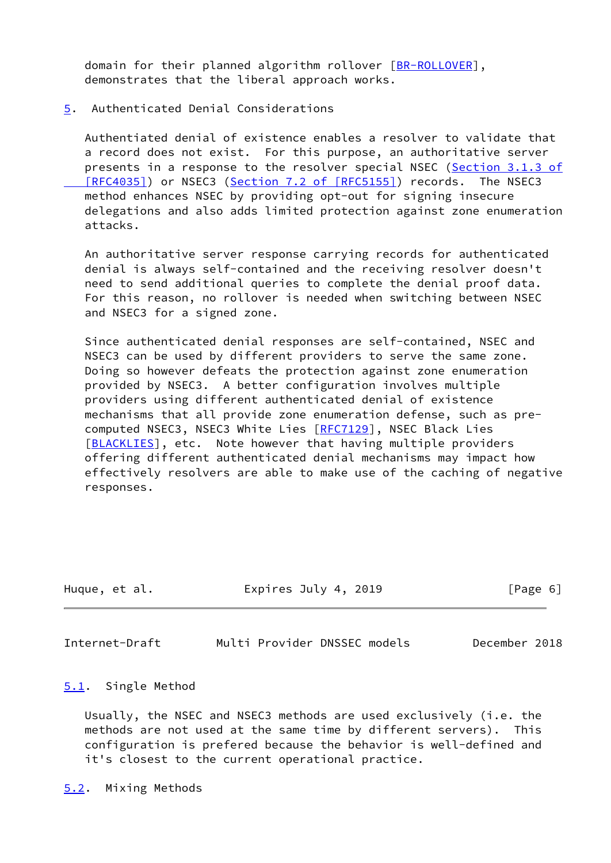domain for their planned algorithm rollover [\[BR-ROLLOVER](#page-10-2)], demonstrates that the liberal approach works.

<span id="page-6-0"></span>[5](#page-6-0). Authenticated Denial Considerations

 Authentiated denial of existence enables a resolver to validate that a record does not exist. For this purpose, an authoritative server presents in a response to the resolver special NSEC (Section [3.1.3 of](https://datatracker.ietf.org/doc/pdf/rfc4035#section-3.1.3)  [\[RFC4035\]](https://datatracker.ietf.org/doc/pdf/rfc4035#section-3.1.3)) or NSEC3 (Section [7.2 of \[RFC5155\]](https://datatracker.ietf.org/doc/pdf/rfc5155#section-7.2)) records. The NSEC3 method enhances NSEC by providing opt-out for signing insecure delegations and also adds limited protection against zone enumeration attacks.

 An authoritative server response carrying records for authenticated denial is always self-contained and the receiving resolver doesn't need to send additional queries to complete the denial proof data. For this reason, no rollover is needed when switching between NSEC and NSEC3 for a signed zone.

 Since authenticated denial responses are self-contained, NSEC and NSEC3 can be used by different providers to serve the same zone. Doing so however defeats the protection against zone enumeration provided by NSEC3. A better configuration involves multiple providers using different authenticated denial of existence mechanisms that all provide zone enumeration defense, such as pre- computed NSEC3, NSEC3 White Lies [\[RFC7129](https://datatracker.ietf.org/doc/pdf/rfc7129)], NSEC Black Lies [\[BLACKLIES](#page-10-3)], etc. Note however that having multiple providers offering different authenticated denial mechanisms may impact how effectively resolvers are able to make use of the caching of negative responses.

| Huque, et al. | Expires July 4, 2019 | [Page 6] |
|---------------|----------------------|----------|
|               |                      |          |

<span id="page-6-2"></span>Internet-Draft Multi Provider DNSSEC models December 2018

<span id="page-6-1"></span>[5.1](#page-6-1). Single Method

 Usually, the NSEC and NSEC3 methods are used exclusively (i.e. the methods are not used at the same time by different servers). This configuration is prefered because the behavior is well-defined and it's closest to the current operational practice.

<span id="page-6-3"></span>[5.2](#page-6-3). Mixing Methods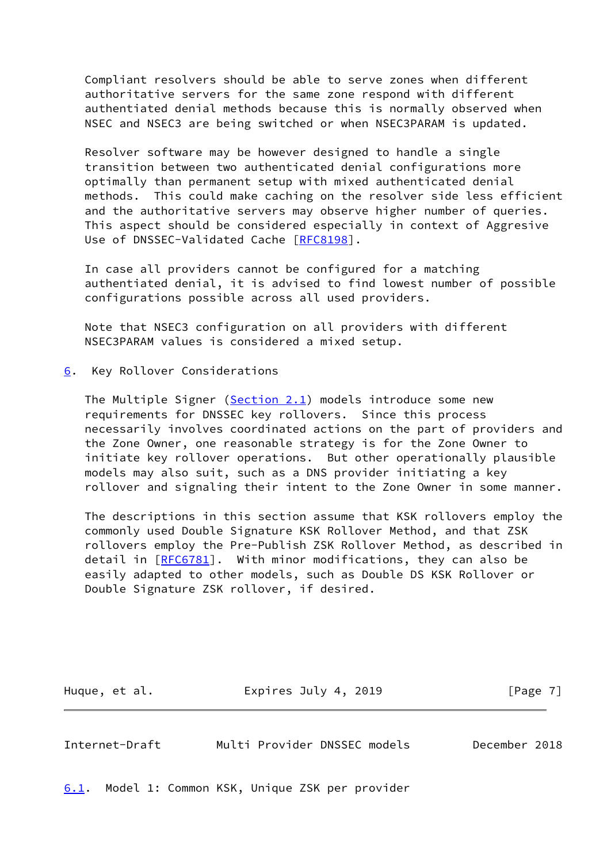Compliant resolvers should be able to serve zones when different authoritative servers for the same zone respond with different authentiated denial methods because this is normally observed when NSEC and NSEC3 are being switched or when NSEC3PARAM is updated.

 Resolver software may be however designed to handle a single transition between two authenticated denial configurations more optimally than permanent setup with mixed authenticated denial methods. This could make caching on the resolver side less efficient and the authoritative servers may observe higher number of queries. This aspect should be considered especially in context of Aggresive Use of DNSSEC-Validated Cache [[RFC8198](https://datatracker.ietf.org/doc/pdf/rfc8198)].

 In case all providers cannot be configured for a matching authentiated denial, it is advised to find lowest number of possible configurations possible across all used providers.

 Note that NSEC3 configuration on all providers with different NSEC3PARAM values is considered a mixed setup.

<span id="page-7-0"></span>[6](#page-7-0). Key Rollover Considerations

The Multiple Signer ( $Section 2.1$ ) models introduce some new requirements for DNSSEC key rollovers. Since this process necessarily involves coordinated actions on the part of providers and the Zone Owner, one reasonable strategy is for the Zone Owner to initiate key rollover operations. But other operationally plausible models may also suit, such as a DNS provider initiating a key rollover and signaling their intent to the Zone Owner in some manner.

 The descriptions in this section assume that KSK rollovers employ the commonly used Double Signature KSK Rollover Method, and that ZSK rollovers employ the Pre-Publish ZSK Rollover Method, as described in detail in [[RFC6781](https://datatracker.ietf.org/doc/pdf/rfc6781)]. With minor modifications, they can also be easily adapted to other models, such as Double DS KSK Rollover or Double Signature ZSK rollover, if desired.

Huque, et al. **Expires July 4, 2019** [Page 7]

<span id="page-7-2"></span>Internet-Draft Multi Provider DNSSEC models December 2018

<span id="page-7-1"></span>[6.1](#page-7-1). Model 1: Common KSK, Unique ZSK per provider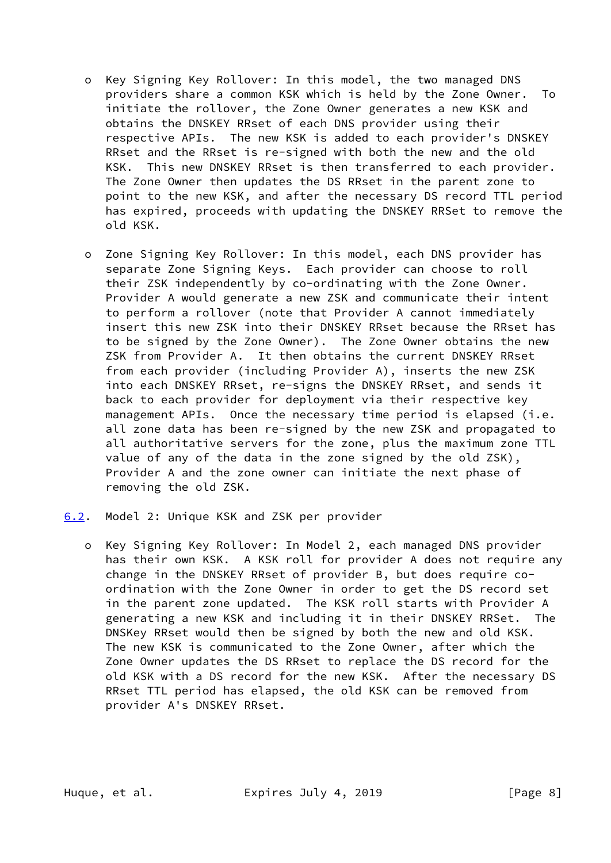- o Key Signing Key Rollover: In this model, the two managed DNS providers share a common KSK which is held by the Zone Owner. To initiate the rollover, the Zone Owner generates a new KSK and obtains the DNSKEY RRset of each DNS provider using their respective APIs. The new KSK is added to each provider's DNSKEY RRset and the RRset is re-signed with both the new and the old KSK. This new DNSKEY RRset is then transferred to each provider. The Zone Owner then updates the DS RRset in the parent zone to point to the new KSK, and after the necessary DS record TTL period has expired, proceeds with updating the DNSKEY RRSet to remove the old KSK.
- o Zone Signing Key Rollover: In this model, each DNS provider has separate Zone Signing Keys. Each provider can choose to roll their ZSK independently by co-ordinating with the Zone Owner. Provider A would generate a new ZSK and communicate their intent to perform a rollover (note that Provider A cannot immediately insert this new ZSK into their DNSKEY RRset because the RRset has to be signed by the Zone Owner). The Zone Owner obtains the new ZSK from Provider A. It then obtains the current DNSKEY RRset from each provider (including Provider A), inserts the new ZSK into each DNSKEY RRset, re-signs the DNSKEY RRset, and sends it back to each provider for deployment via their respective key management APIs. Once the necessary time period is elapsed (i.e. all zone data has been re-signed by the new ZSK and propagated to all authoritative servers for the zone, plus the maximum zone TTL value of any of the data in the zone signed by the old ZSK), Provider A and the zone owner can initiate the next phase of removing the old ZSK.
- <span id="page-8-0"></span>[6.2](#page-8-0). Model 2: Unique KSK and ZSK per provider
	- o Key Signing Key Rollover: In Model 2, each managed DNS provider has their own KSK. A KSK roll for provider A does not require any change in the DNSKEY RRset of provider B, but does require co ordination with the Zone Owner in order to get the DS record set in the parent zone updated. The KSK roll starts with Provider A generating a new KSK and including it in their DNSKEY RRSet. The DNSKey RRset would then be signed by both the new and old KSK. The new KSK is communicated to the Zone Owner, after which the Zone Owner updates the DS RRset to replace the DS record for the old KSK with a DS record for the new KSK. After the necessary DS RRset TTL period has elapsed, the old KSK can be removed from provider A's DNSKEY RRset.

Huque, et al. **Expires July 4, 2019** [Page 8]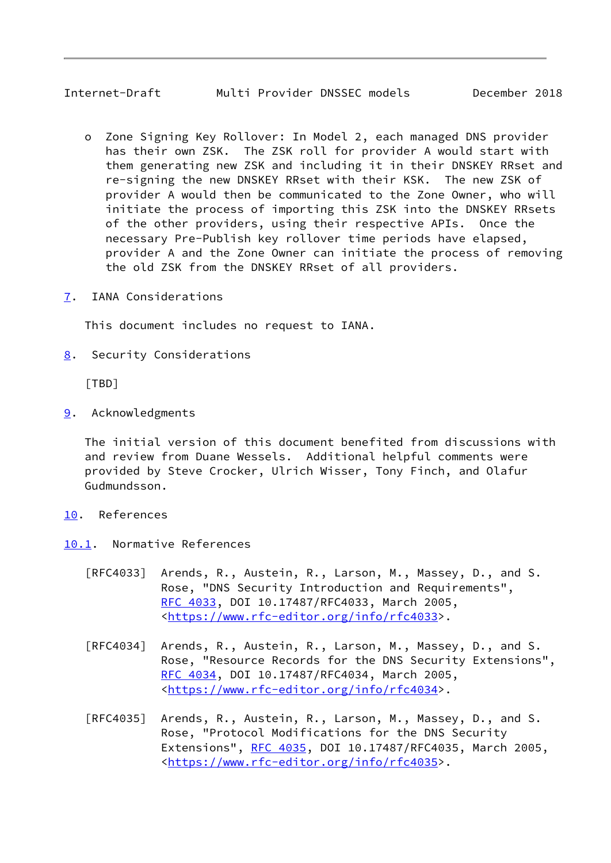## <span id="page-9-1"></span>Internet-Draft Multi Provider DNSSEC models December 2018

- o Zone Signing Key Rollover: In Model 2, each managed DNS provider has their own ZSK. The ZSK roll for provider A would start with them generating new ZSK and including it in their DNSKEY RRset and re-signing the new DNSKEY RRset with their KSK. The new ZSK of provider A would then be communicated to the Zone Owner, who will initiate the process of importing this ZSK into the DNSKEY RRsets of the other providers, using their respective APIs. Once the necessary Pre-Publish key rollover time periods have elapsed, provider A and the Zone Owner can initiate the process of removing the old ZSK from the DNSKEY RRset of all providers.
- <span id="page-9-0"></span>[7](#page-9-0). IANA Considerations

This document includes no request to IANA.

<span id="page-9-2"></span>[8](#page-9-2). Security Considerations

[TBD]

<span id="page-9-3"></span>[9](#page-9-3). Acknowledgments

 The initial version of this document benefited from discussions with and review from Duane Wessels. Additional helpful comments were provided by Steve Crocker, Ulrich Wisser, Tony Finch, and Olafur Gudmundsson.

- <span id="page-9-4"></span>[10.](#page-9-4) References
- <span id="page-9-5"></span>[10.1](#page-9-5). Normative References
	- [RFC4033] Arends, R., Austein, R., Larson, M., Massey, D., and S. Rose, "DNS Security Introduction and Requirements", [RFC 4033,](https://datatracker.ietf.org/doc/pdf/rfc4033) DOI 10.17487/RFC4033, March 2005, <[https://www.rfc-editor.org/info/rfc4033>](https://www.rfc-editor.org/info/rfc4033).
	- [RFC4034] Arends, R., Austein, R., Larson, M., Massey, D., and S. Rose, "Resource Records for the DNS Security Extensions", [RFC 4034,](https://datatracker.ietf.org/doc/pdf/rfc4034) DOI 10.17487/RFC4034, March 2005, <[https://www.rfc-editor.org/info/rfc4034>](https://www.rfc-editor.org/info/rfc4034).
	- [RFC4035] Arends, R., Austein, R., Larson, M., Massey, D., and S. Rose, "Protocol Modifications for the DNS Security Extensions", [RFC 4035](https://datatracker.ietf.org/doc/pdf/rfc4035), DOI 10.17487/RFC4035, March 2005, <[https://www.rfc-editor.org/info/rfc4035>](https://www.rfc-editor.org/info/rfc4035).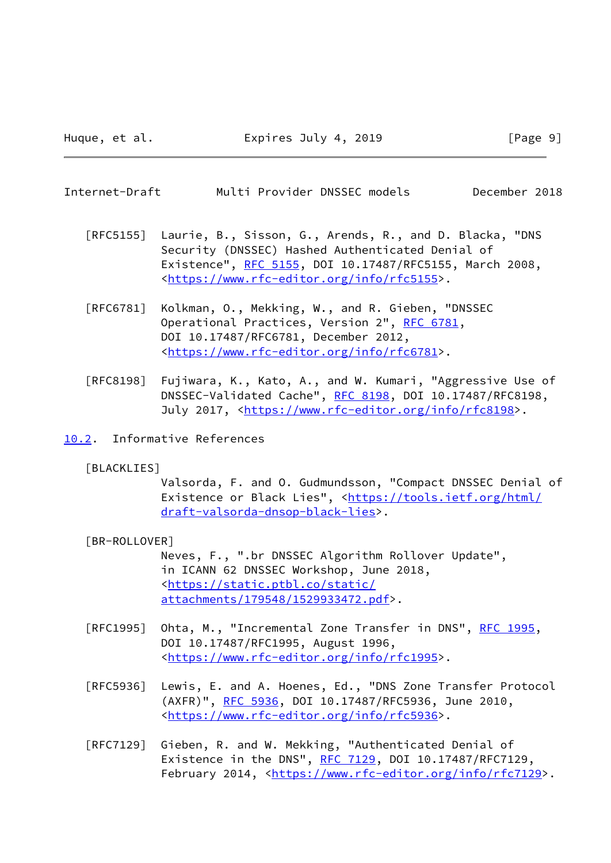<span id="page-10-1"></span>

| Internet-Draft | Multi Provider DNSSEC models |  | December 2018 |  |
|----------------|------------------------------|--|---------------|--|
|----------------|------------------------------|--|---------------|--|

- [RFC5155] Laurie, B., Sisson, G., Arends, R., and D. Blacka, "DNS Security (DNSSEC) Hashed Authenticated Denial of Existence", [RFC 5155,](https://datatracker.ietf.org/doc/pdf/rfc5155) DOI 10.17487/RFC5155, March 2008, <[https://www.rfc-editor.org/info/rfc5155>](https://www.rfc-editor.org/info/rfc5155).
- [RFC6781] Kolkman, O., Mekking, W., and R. Gieben, "DNSSEC Operational Practices, Version 2", [RFC 6781](https://datatracker.ietf.org/doc/pdf/rfc6781), DOI 10.17487/RFC6781, December 2012, <[https://www.rfc-editor.org/info/rfc6781>](https://www.rfc-editor.org/info/rfc6781).
- [RFC8198] Fujiwara, K., Kato, A., and W. Kumari, "Aggressive Use of DNSSEC-Validated Cache", [RFC 8198,](https://datatracker.ietf.org/doc/pdf/rfc8198) DOI 10.17487/RFC8198, July 2017, <<https://www.rfc-editor.org/info/rfc8198>>.
- <span id="page-10-3"></span><span id="page-10-0"></span>[10.2](#page-10-0). Informative References
	- [BLACKLIES]

 Valsorda, F. and O. Gudmundsson, "Compact DNSSEC Denial of Existence or Black Lies", [<https://tools.ietf.org/html/](https://tools.ietf.org/html/draft-valsorda-dnsop-black-lies) [draft-valsorda-dnsop-black-lies](https://tools.ietf.org/html/draft-valsorda-dnsop-black-lies)>.

<span id="page-10-2"></span>[BR-ROLLOVER]

 Neves, F., ".br DNSSEC Algorithm Rollover Update", in ICANN 62 DNSSEC Workshop, June 2018, <[https://static.ptbl.co/static/](https://static.ptbl.co/static/attachments/179548/1529933472.pdf) [attachments/179548/1529933472.pdf>](https://static.ptbl.co/static/attachments/179548/1529933472.pdf).

- [RFC1995] Ohta, M., "Incremental Zone Transfer in DNS", [RFC 1995](https://datatracker.ietf.org/doc/pdf/rfc1995), DOI 10.17487/RFC1995, August 1996, <[https://www.rfc-editor.org/info/rfc1995>](https://www.rfc-editor.org/info/rfc1995).
- [RFC5936] Lewis, E. and A. Hoenes, Ed., "DNS Zone Transfer Protocol (AXFR)", [RFC 5936,](https://datatracker.ietf.org/doc/pdf/rfc5936) DOI 10.17487/RFC5936, June 2010, <[https://www.rfc-editor.org/info/rfc5936>](https://www.rfc-editor.org/info/rfc5936).
- [RFC7129] Gieben, R. and W. Mekking, "Authenticated Denial of Existence in the DNS", [RFC 7129](https://datatracker.ietf.org/doc/pdf/rfc7129), DOI 10.17487/RFC7129, February 2014, <<https://www.rfc-editor.org/info/rfc7129>>.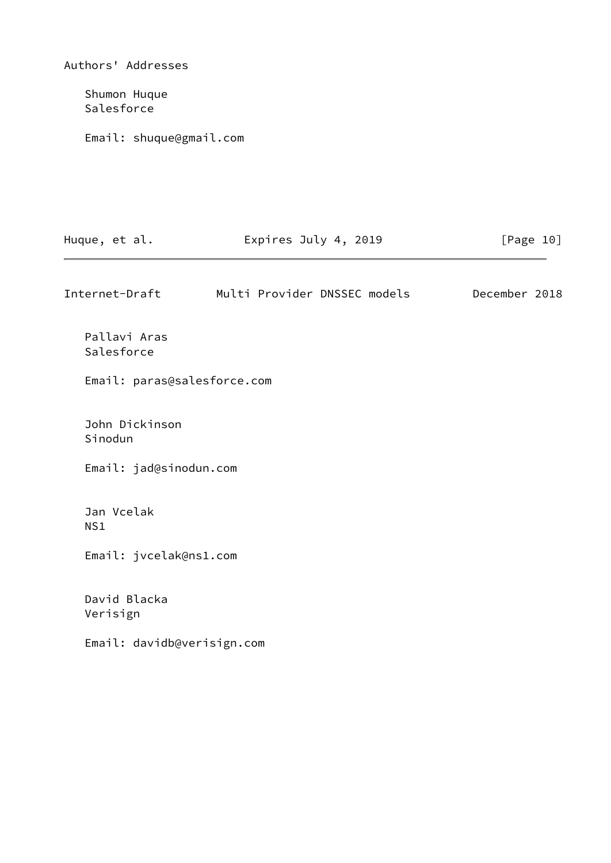| Authors' Addresses          |                              |               |  |
|-----------------------------|------------------------------|---------------|--|
| Shumon Huque<br>Salesforce  |                              |               |  |
| Email: shuque@gmail.com     |                              |               |  |
|                             |                              |               |  |
|                             |                              |               |  |
| Huque, et al.               | Expires July 4, 2019         | [Page 10]     |  |
| Internet-Draft              | Multi Provider DNSSEC models | December 2018 |  |
| Pallavi Aras<br>Salesforce  |                              |               |  |
| Email: paras@salesforce.com |                              |               |  |
| John Dickinson<br>Sinodun   |                              |               |  |
| Email: jad@sinodun.com      |                              |               |  |
| Jan Vcelak<br>NS1           |                              |               |  |
| Email: jvcelak@ns1.com      |                              |               |  |
| David Blacka<br>Verisign    |                              |               |  |
| Email: davidb@verisign.com  |                              |               |  |